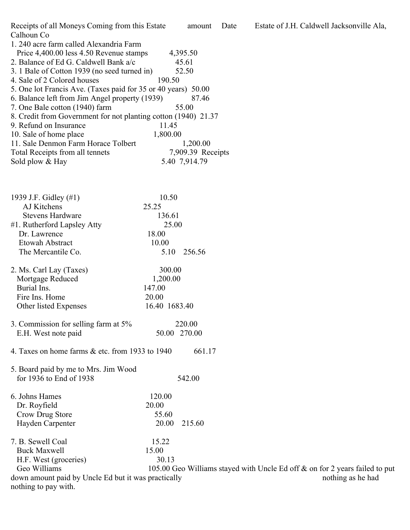Receipts of all Moneys Coming from this Estate amount Date Estate of J.H. Caldwell Jacksonville Ala, Calhoun Co 1. 240 acre farm called Alexandria Farm Price 4,400.00 less 4.50 Revenue stamps 4,395.50 2. Balance of Ed G. Caldwell Bank  $a/c$  45.61 3. 1 Bale of Cotton 1939 (no seed turned in) 52.50 4. Sale of 2 Colored houses 190.50 5. One lot Francis Ave. (Taxes paid for 35 or 40 years) 50.00

- 6. Balance left from Jim Angel property (1939) 87.46 7. One Bale cotton (1940) farm 55.00 8. Credit from Government for not planting cotton (1940) 21.37 9. Refund on Insurance 11.45 10. Sale of home place 1,800.00 11. Sale Denmon Farm Horace Tolbert 1,200.00 Total Receipts from all tennets 7,909.39 Receipts Sold plow & Hay 5.40 7,914.79
- 1939 J.F. Gidley (#1) 10.50 AJ Kitchens 25.25 Stevens Hardware 136.61 #1. Rutherford Lapsley Atty 25.00 Dr. Lawrence 18.00 Etowah Abstract 10.00 The Mercantile Co. 5.10 256.56
- 2. Ms. Carl Lay (Taxes) 300.00 Mortgage Reduced 1,200.00 Burial Ins. 147.00 Fire Ins. Home 20.00 Other listed Expenses 16.40 1683.40
- 3. Commission for selling farm at 5% 220.00 E.H. West note paid 50.00 270.00
- 4. Taxes on home farms  $&$  etc. from 1933 to 1940 661.17

5. Board paid by me to Mrs. Jim Wood for 1936 to End of 1938 542.00

- 6. Johns Hames 120.00 Dr. Royfield 20.00 Crow Drug Store 55.60 Hayden Carpenter 20.00 215.60
- 7. B. Sewell Coal 15.22 Buck Maxwell 15.00 H.F. West (groceries) 30.13 Geo Williams 105.00 Geo Williams stayed with Uncle Ed off & on for 2 years failed to put down amount paid by Uncle Ed but it was practically nothing as he had nothing to pay with.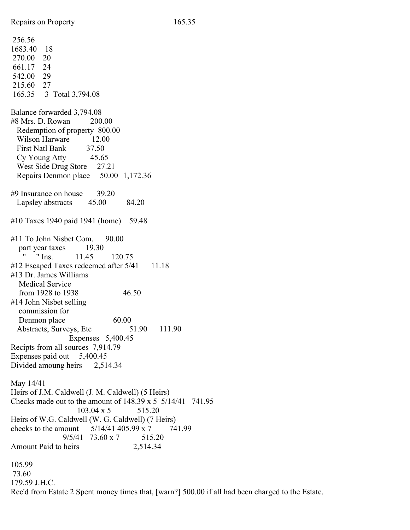256.56 1683.40 18 270.00 20 661.17 24 542.00 29 215.60 27 165.35 3 Total 3,794.08 Balance forwarded 3,794.08 #8 Mrs. D. Rowan 200.00 Redemption of property 800.00 Wilson Harware 12.00 First Natl Bank 37.50 Cy Young Atty 45.65 West Side Drug Store 27.21 Repairs Denmon place 50.00 1,172.36 #9 Insurance on house 39.20 Lapsley abstracts 45.00 84.20 #10 Taxes 1940 paid 1941 (home) 59.48 #11 To John Nisbet Com. 90.00 part year taxes 19.30 " " Ins. 11.45 120.75 #12 Escaped Taxes redeemed after 5/41 11.18 #13 Dr. James Williams Medical Service from 1928 to 1938 46.50 #14 John Nisbet selling commission for Denmon place 60.00 Abstracts, Surveys, Etc 51.90 111.90 Expenses 5,400.45 Recipts from all sources 7,914.79 Expenses paid out 5,400.45 Divided amoung heirs 2,514.34 May 14/41 Heirs of J.M. Caldwell (J. M. Caldwell) (5 Heirs) Checks made out to the amount of 148.39 x 5 5/14/41 741.95  $103.04 \times 5$   $515.20$ Heirs of W.G. Caldwell (W. G. Caldwell) (7 Heirs) checks to the amount  $5/14/41$  405.99 x 7  $7/41.99$  $9/5/41$  73.60 x 7 515.20 Amount Paid to heirs 2,514.34 105.99 73.60 179.59 J.H.C.

Rec'd from Estate 2 Spent money times that, [warn?] 500.00 if all had been charged to the Estate.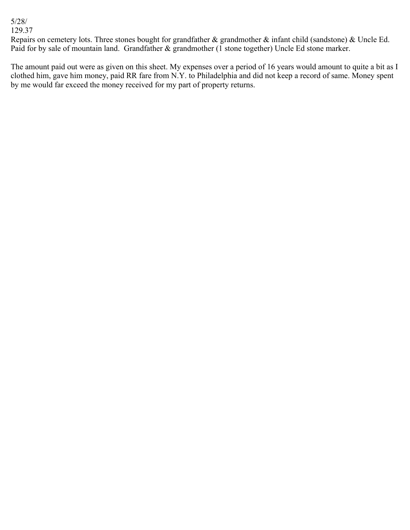## 5/28/

129.37

Repairs on cemetery lots. Three stones bought for grandfather & grandmother & infant child (sandstone) & Uncle Ed. Paid for by sale of mountain land. Grandfather & grandmother (1 stone together) Uncle Ed stone marker.

The amount paid out were as given on this sheet. My expenses over a period of 16 years would amount to quite a bit as I clothed him, gave him money, paid RR fare from N.Y. to Philadelphia and did not keep a record of same. Money spent by me would far exceed the money received for my part of property returns.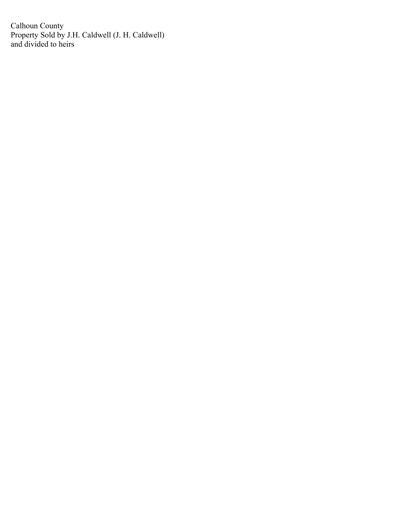Calhoun County Property Sold by J.H. Caldwell (J. H. Caldwell) and divided to heirs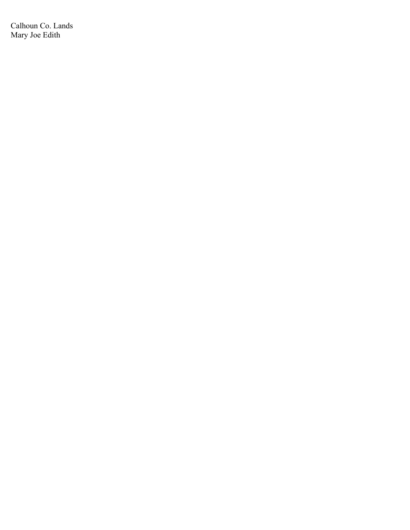Calhoun Co. Lands Mary Joe Edith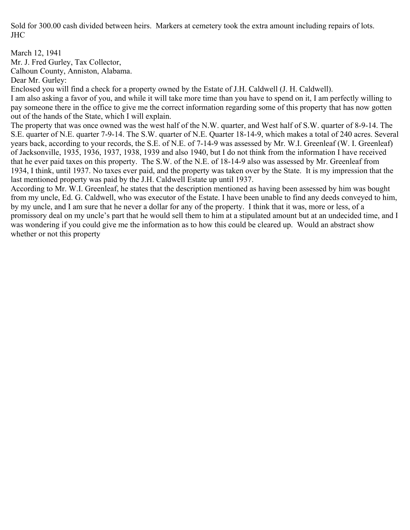Sold for 300.00 cash divided between heirs. Markers at cemetery took the extra amount including repairs of lots. JHC

March 12, 1941

Mr. J. Fred Gurley, Tax Collector,

Calhoun County, Anniston, Alabama.

Dear Mr. Gurley:

Enclosed you will find a check for a property owned by the Estate of J.H. Caldwell (J. H. Caldwell).

I am also asking a favor of you, and while it will take more time than you have to spend on it, I am perfectly willing to pay someone there in the office to give me the correct information regarding some of this property that has now gotten out of the hands of the State, which I will explain.

The property that was once owned was the west half of the N.W. quarter, and West half of S.W. quarter of 8-9-14. The S.E. quarter of N.E. quarter 7-9-14. The S.W. quarter of N.E. Quarter 18-14-9, which makes a total of 240 acres. Several years back, according to your records, the S.E. of N.E. of 7-14-9 was assessed by Mr. W.I. Greenleaf (W. I. Greenleaf) of Jacksonville, 1935, 1936, 1937, 1938, 1939 and also 1940, but I do not think from the information I have received that he ever paid taxes on this property. The S.W. of the N.E. of 18-14-9 also was assessed by Mr. Greenleaf from 1934, I think, until 1937. No taxes ever paid, and the property was taken over by the State. It is my impression that the last mentioned property was paid by the J.H. Caldwell Estate up until 1937.

According to Mr. W.I. Greenleaf, he states that the description mentioned as having been assessed by him was bought from my uncle, Ed. G. Caldwell, who was executor of the Estate. I have been unable to find any deeds conveyed to him, by my uncle, and I am sure that he never a dollar for any of the property. I think that it was, more or less, of a promissory deal on my uncle's part that he would sell them to him at a stipulated amount but at an undecided time, and I was wondering if you could give me the information as to how this could be cleared up. Would an abstract show whether or not this property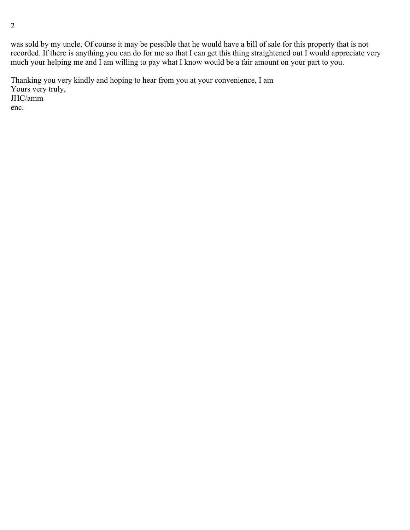was sold by my uncle. Of course it may be possible that he would have a bill of sale for this property that is not recorded. If there is anything you can do for me so that I can get this thing straightened out I would appreciate very much your helping me and I am willing to pay what I know would be a fair amount on your part to you.

Thanking you very kindly and hoping to hear from you at your convenience, I am Yours very truly, JHC/amm enc.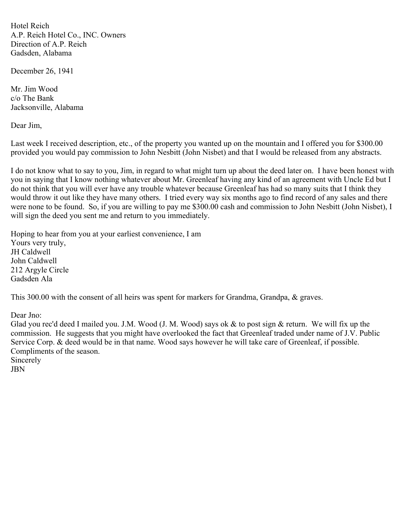Hotel Reich A.P. Reich Hotel Co., INC. Owners Direction of A.P. Reich Gadsden, Alabama

December 26, 1941

Mr. Jim Wood c/o The Bank Jacksonville, Alabama

Dear Jim,

Last week I received description, etc., of the property you wanted up on the mountain and I offered you for \$300.00 provided you would pay commission to John Nesbitt (John Nisbet) and that I would be released from any abstracts.

I do not know what to say to you, Jim, in regard to what might turn up about the deed later on. I have been honest with you in saying that I know nothing whatever about Mr. Greenleaf having any kind of an agreement with Uncle Ed but I do not think that you will ever have any trouble whatever because Greenleaf has had so many suits that I think they would throw it out like they have many others. I tried every way six months ago to find record of any sales and there were none to be found. So, if you are willing to pay me \$300.00 cash and commission to John Nesbitt (John Nisbet), I will sign the deed you sent me and return to you immediately.

Hoping to hear from you at your earliest convenience, I am Yours very truly, JH Caldwell John Caldwell 212 Argyle Circle Gadsden Ala

This 300.00 with the consent of all heirs was spent for markers for Grandma, Grandpa, & graves.

Dear Jno:

Glad you rec'd deed I mailed you. J.M. Wood (J. M. Wood) says ok & to post sign & return. We will fix up the commission. He suggests that you might have overlooked the fact that Greenleaf traded under name of J.V. Public Service Corp. & deed would be in that name. Wood says however he will take care of Greenleaf, if possible. Compliments of the season. Sincerely JBN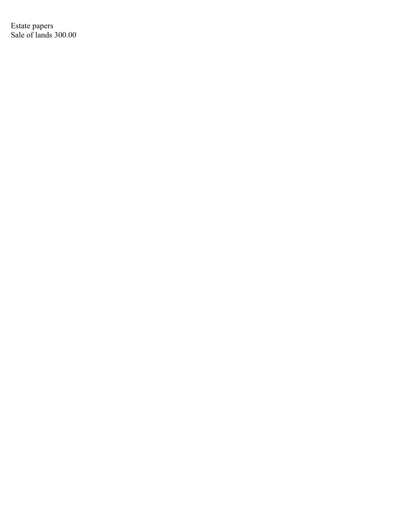Estate papers Sale of lands 300.00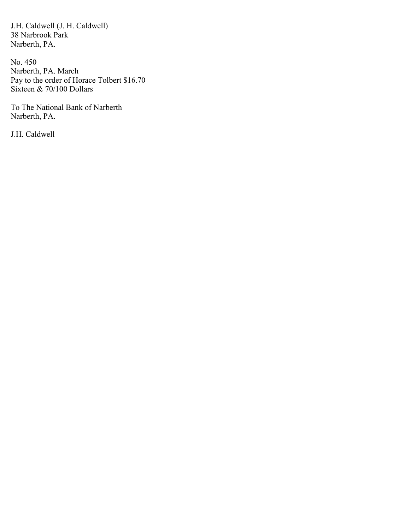J.H. Caldwell (J. H. Caldwell) 38 Narbrook Park Narberth, PA.

No. 450 Narberth, PA. March Pay to the order of Horace Tolbert \$16.70 Sixteen & 70/100 Dollars

To The National Bank of Narberth Narberth, PA.

J.H. Caldwell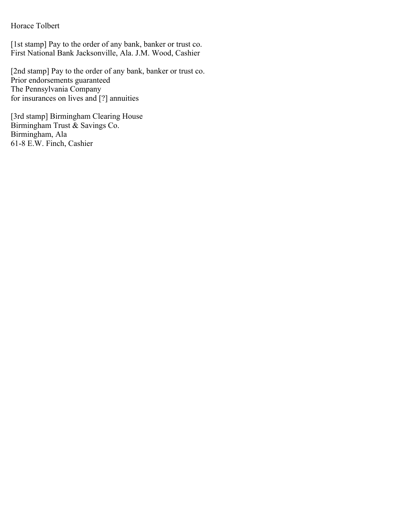## Horace Tolbert

[1st stamp] Pay to the order of any bank, banker or trust co. First National Bank Jacksonville, Ala. J.M. Wood, Cashier

[2nd stamp] Pay to the order of any bank, banker or trust co. Prior endorsements guaranteed The Pennsylvania Company for insurances on lives and [?] annuities

[3rd stamp] Birmingham Clearing House Birmingham Trust & Savings Co. Birmingham, Ala 61-8 E.W. Finch, Cashier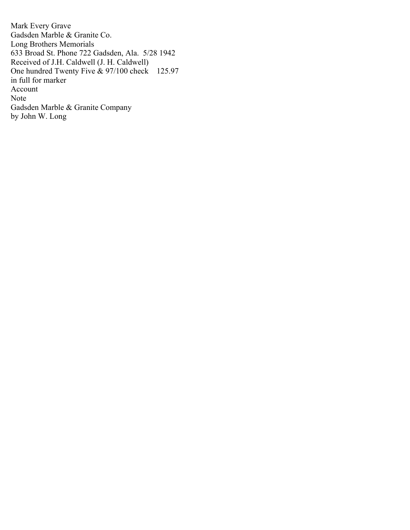Mark Every Grave Gadsden Marble & Granite Co. Long Brothers Memorials 633 Broad St. Phone 722 Gadsden, Ala. 5/28 1942 Received of J.H. Caldwell (J. H. Caldwell) One hundred Twenty Five & 97/100 check 125.97 in full for marker Account Note Gadsden Marble & Granite Company by John W. Long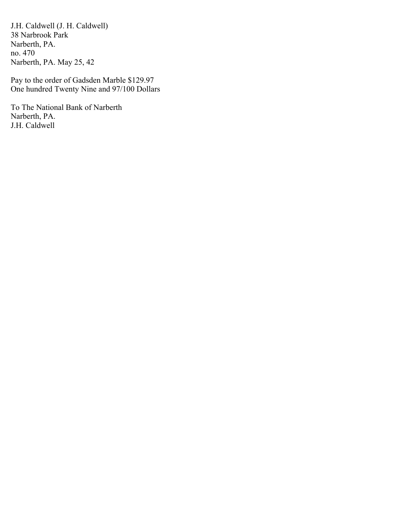J.H. Caldwell (J. H. Caldwell) 38 Narbrook Park Narberth, PA. no. 470 Narberth, PA. May 25, 42

Pay to the order of Gadsden Marble \$129.97 One hundred Twenty Nine and 97/100 Dollars

To The National Bank of Narberth Narberth, PA. J.H. Caldwell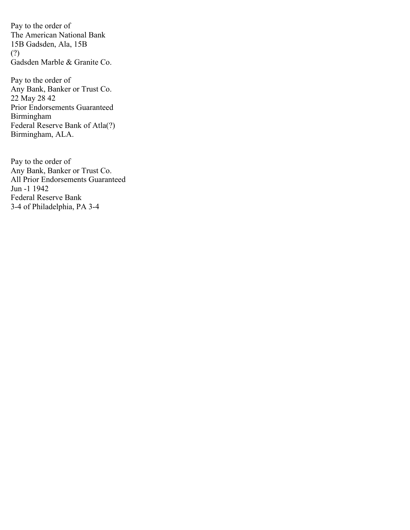Pay to the order of The American National Bank 15B Gadsden, Ala, 15B (?) Gadsden Marble & Granite Co.

Pay to the order of Any Bank, Banker or Trust Co. 22 May 28 42 Prior Endorsements Guaranteed Birmingham Federal Reserve Bank of Atla(?) Birmingham, ALA.

Pay to the order of Any Bank, Banker or Trust Co. All Prior Endorsements Guaranteed Jun -1 1942 Federal Reserve Bank 3-4 of Philadelphia, PA 3-4